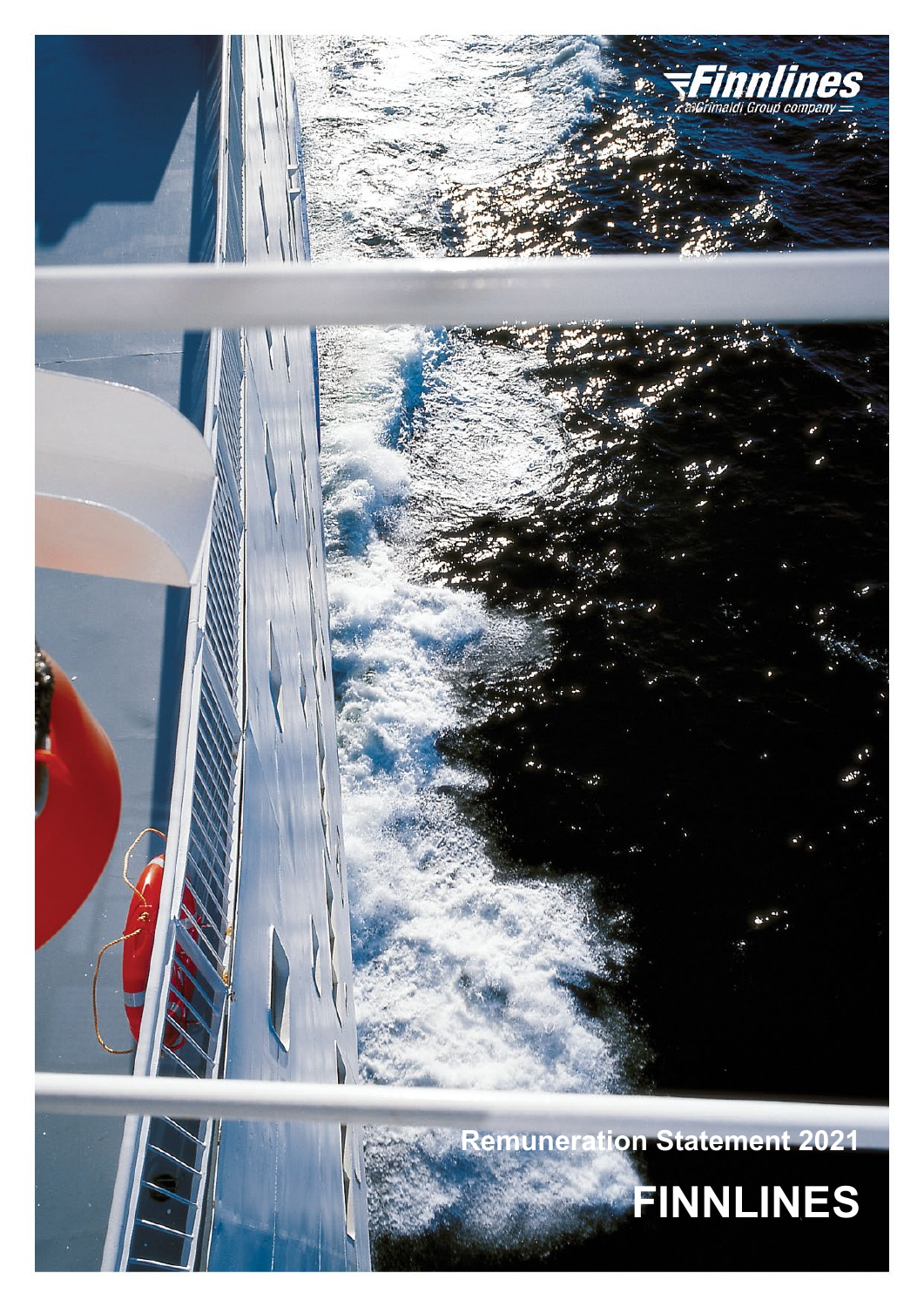

**Remuneration Statement 2021 FINNLINES**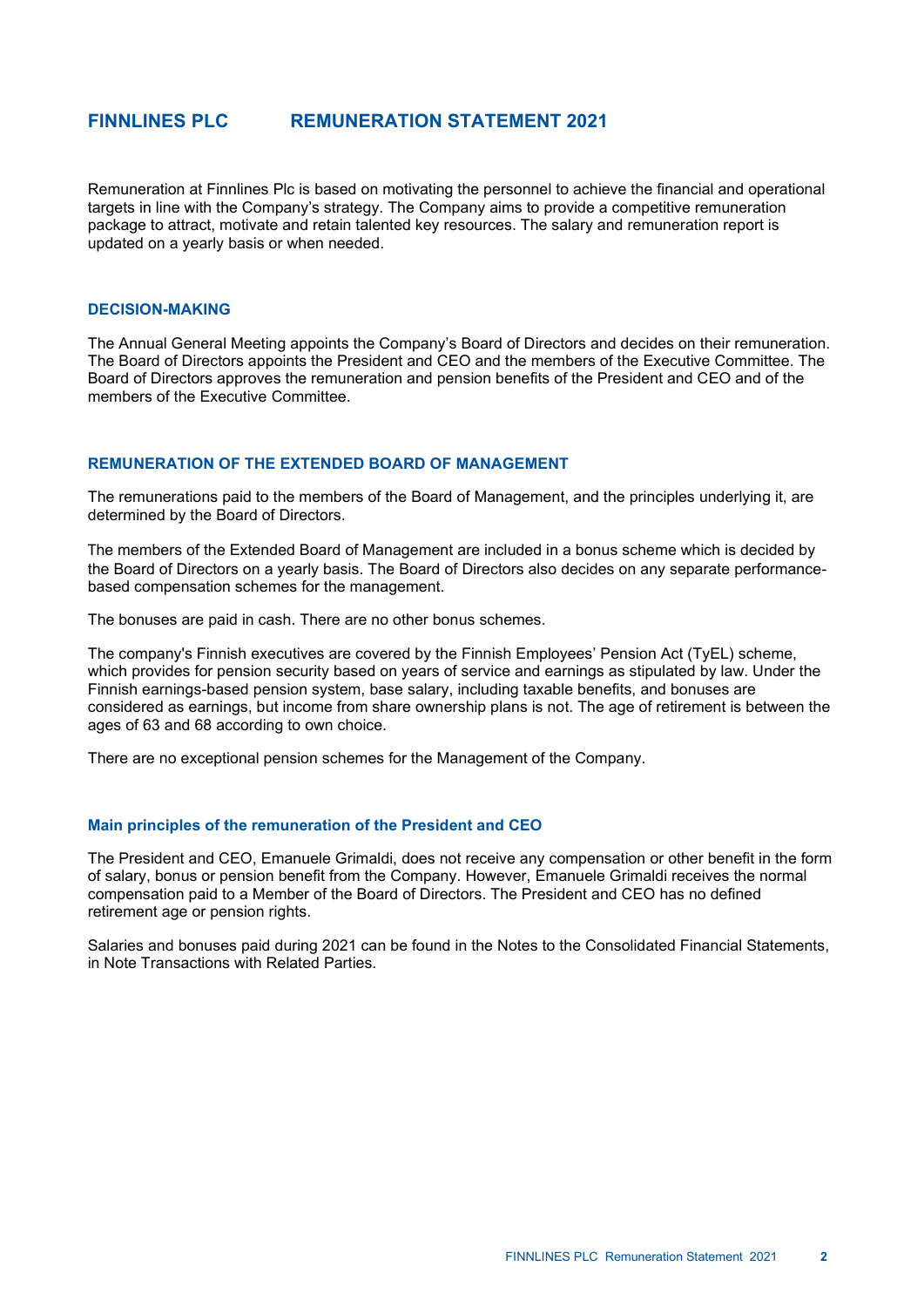# **FINNLINES PLC REMUNERATION STATEMENT 2021**

Remuneration at Finnlines Plc is based on motivating the personnel to achieve the financial and operational targets in line with the Company's strategy. The Company aims to provide a competitive remuneration package to attract, motivate and retain talented key resources. The salary and remuneration report is updated on a yearly basis or when needed.

#### **DECISION-MAKING**

The Annual General Meeting appoints the Company's Board of Directors and decides on their remuneration. The Board of Directors appoints the President and CEO and the members of the Executive Committee. The Board of Directors approves the remuneration and pension benefits of the President and CEO and of the members of the Executive Committee.

#### **REMUNERATION OF THE EXTENDED BOARD OF MANAGEMENT**

The remunerations paid to the members of the Board of Management, and the principles underlying it, are determined by the Board of Directors.

The members of the Extended Board of Management are included in a bonus scheme which is decided by the Board of Directors on a yearly basis. The Board of Directors also decides on any separate performancebased compensation schemes for the management.

The bonuses are paid in cash. There are no other bonus schemes.

The company's Finnish executives are covered by the Finnish Employees' Pension Act (TyEL) scheme, which provides for pension security based on years of service and earnings as stipulated by law. Under the Finnish earnings-based pension system, base salary, including taxable benefits, and bonuses are considered as earnings, but income from share ownership plans is not. The age of retirement is between the ages of 63 and 68 according to own choice.

There are no exceptional pension schemes for the Management of the Company.

#### **Main principles of the remuneration of the President and CEO**

The President and CEO, Emanuele Grimaldi, does not receive any compensation or other benefit in the form of salary, bonus or pension benefit from the Company. However, Emanuele Grimaldi receives the normal compensation paid to a Member of the Board of Directors. The President and CEO has no defined retirement age or pension rights.

Salaries and bonuses paid during 2021 can be found in the Notes to the Consolidated Financial Statements, in Note Transactions with Related Parties.